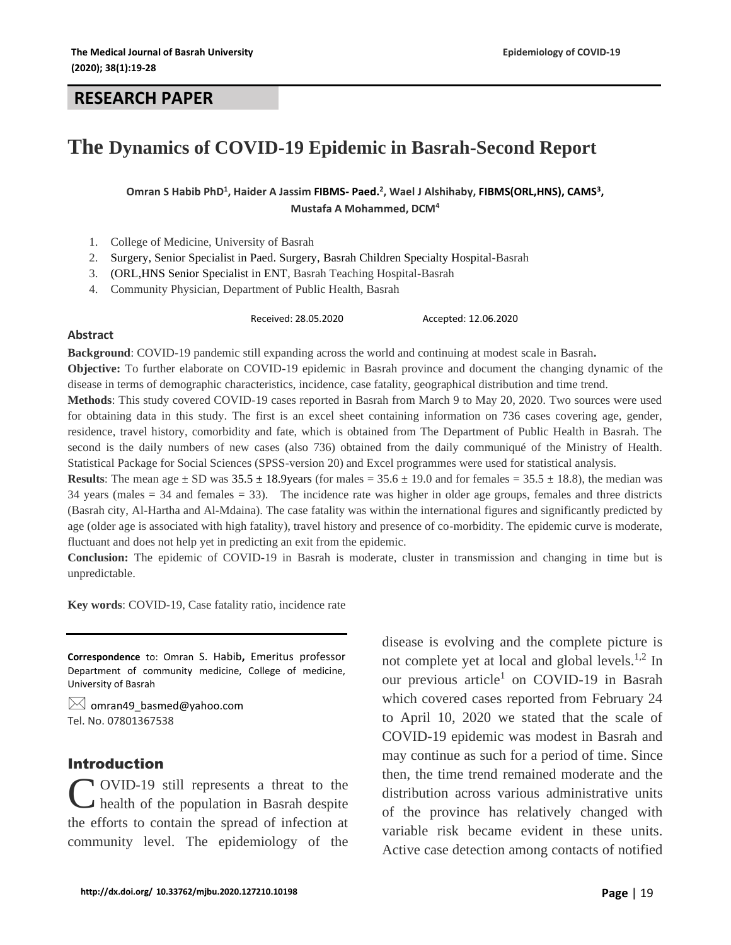#### **RESEARCH PAPER**

# **The Dynamics of COVID-19 Epidemic in Basrah-Second Report**

Omran S Habib PhD<sup>1</sup>, Haider A Jassim FIBMS- Paed.<sup>2</sup>, Wael J Alshihaby, FIBMS(ORL,HNS), CAMS<sup>3</sup>, **Mustafa A Mohammed, DCM<sup>4</sup>**

- 1. College of Medicine, University of Basrah
- 2. Surgery, Senior Specialist in Paed. Surgery, Basrah Children Specialty Hospital-Basrah
- 3. (ORL,HNS Senior Specialist in ENT, Basrah Teaching Hospital-Basrah
- 4. Community Physician, Department of Public Health, Basrah

Received: 28.05.2020 Accepted: 12.06.2020

#### **Abstract**

**Background**: COVID-19 pandemic still expanding across the world and continuing at modest scale in Basrah**. Objective:** To further elaborate on COVID-19 epidemic in Basrah province and document the changing dynamic of the disease in terms of demographic characteristics, incidence, case fatality, geographical distribution and time trend.

**Methods**: This study covered COVID-19 cases reported in Basrah from March 9 to May 20, 2020. Two sources were used for obtaining data in this study. The first is an excel sheet containing information on 736 cases covering age, gender, residence, travel history, comorbidity and fate, which is obtained from The Department of Public Health in Basrah. The second is the daily numbers of new cases (also 736) obtained from the daily communiqué of the Ministry of Health. Statistical Package for Social Sciences (SPSS-version 20) and Excel programmes were used for statistical analysis.

**Results**: The mean age  $\pm$  SD was  $35.5 \pm 18.9$ years (for males =  $35.6 \pm 19.0$  and for females =  $35.5 \pm 18.8$ ), the median was 34 years (males  $= 34$  and females  $= 33$ ). The incidence rate was higher in older age groups, females and three districts (Basrah city, Al-Hartha and Al-Mdaina). The case fatality was within the international figures and significantly predicted by age (older age is associated with high fatality), travel history and presence of co-morbidity. The epidemic curve is moderate, fluctuant and does not help yet in predicting an exit from the epidemic.

**Conclusion:** The epidemic of COVID-19 in Basrah is moderate, cluster in transmission and changing in time but is unpredictable.

**Key words**: COVID-19, Case fatality ratio, incidence rate

**Correspondence** to: Omran S. Habib**,** Emeritus professor Department of community medicine, College of medicine, University of Basrah

 $\boxtimes$  [omran49\\_basmed@yahoo.com](mailto:omran49_basmed@yahoo.com) Tel. No. 07801367538

### Introduction

OVID-19 still represents a threat to the health of the population in Basrah despite C the efforts to contain the spread of infection at community level. The epidemiology of the

disease is evolving and the complete picture is not complete yet at local and global levels. $^{1,2}$  In our previous article<sup>1</sup> on COVID-19 in Basrah which covered cases reported from February 24 to April 10, 2020 we stated that the scale of COVID-19 epidemic was modest in Basrah and may continue as such for a period of time. Since then, the time trend remained moderate and the distribution across various administrative units of the province has relatively changed with variable risk became evident in these units. Active case detection among contacts of notified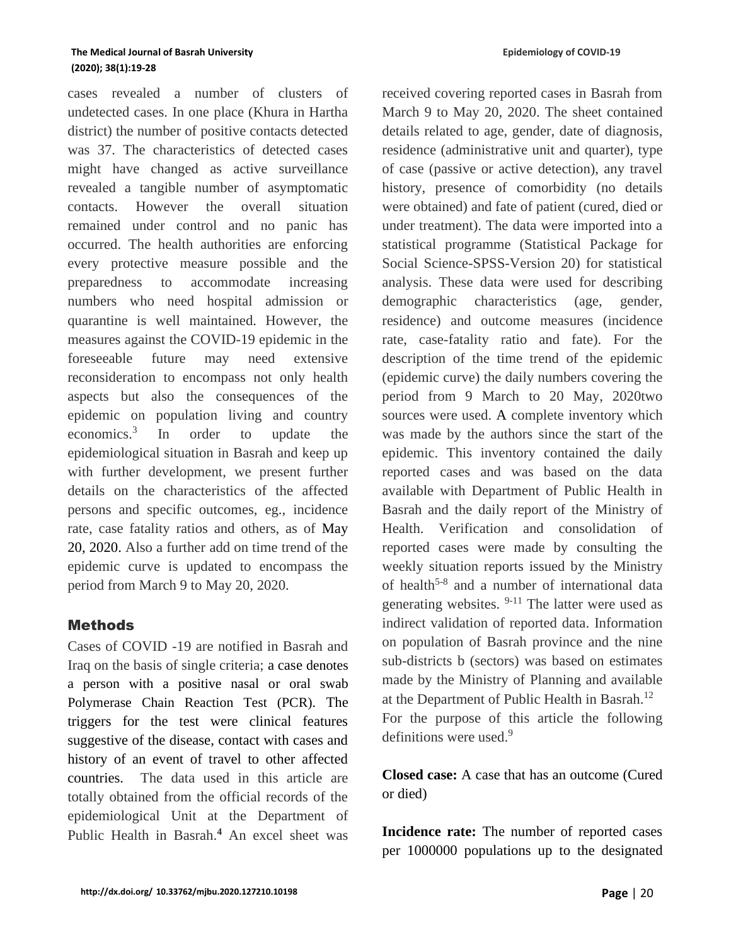cases revealed a number of clusters of undetected cases. In one place (Khura in Hartha district) the number of positive contacts detected was 37. The characteristics of detected cases might have changed as active surveillance revealed a tangible number of asymptomatic contacts. However the overall situation remained under control and no panic has occurred. The health authorities are enforcing every protective measure possible and the preparedness to accommodate increasing numbers who need hospital admission or quarantine is well maintained. However, the measures against the COVID-19 epidemic in the foreseeable future may need extensive reconsideration to encompass not only health aspects but also the consequences of the epidemic on population living and country economics.<sup>3</sup> In order to update the epidemiological situation in Basrah and keep up with further development, we present further details on the characteristics of the affected persons and specific outcomes, eg., incidence rate, case fatality ratios and others, as of May 20, 2020. Also a further add on time trend of the epidemic curve is updated to encompass the period from March 9 to May 20, 2020.

## **Methods**

Cases of COVID -19 are notified in Basrah and Iraq on the basis of single criteria; a case denotes a person with a positive nasal or oral swab Polymerase Chain Reaction Test (PCR). The triggers for the test were clinical features suggestive of the disease, contact with cases and history of an event of travel to other affected countries. The data used in this article are totally obtained from the official records of the epidemiological Unit at the Department of Public Health in Basrah.**<sup>4</sup>** An excel sheet was received covering reported cases in Basrah from March 9 to May 20, 2020. The sheet contained details related to age, gender, date of diagnosis, residence (administrative unit and quarter), type of case (passive or active detection), any travel history, presence of comorbidity (no details were obtained) and fate of patient (cured, died or under treatment). The data were imported into a statistical programme (Statistical Package for Social Science-SPSS-Version 20) for statistical analysis. These data were used for describing demographic characteristics (age, gender, residence) and outcome measures (incidence rate, case-fatality ratio and fate). For the description of the time trend of the epidemic (epidemic curve) the daily numbers covering the period from 9 March to 20 May, 2020two sources were used. A complete inventory which was made by the authors since the start of the epidemic. This inventory contained the daily reported cases and was based on the data available with Department of Public Health in Basrah and the daily report of the Ministry of Health. Verification and consolidation of reported cases were made by consulting the weekly situation reports issued by the Ministry of health<sup>5-8</sup> and a number of international data generating websites. 9-11 The latter were used as indirect validation of reported data. Information on population of Basrah province and the nine sub-districts b (sectors) was based on estimates made by the Ministry of Planning and available at the Department of Public Health in Basrah. 12 For the purpose of this article the following definitions were used. $9$ 

**Closed case:** A case that has an outcome (Cured or died)

**Incidence rate:** The number of reported cases per 1000000 populations up to the designated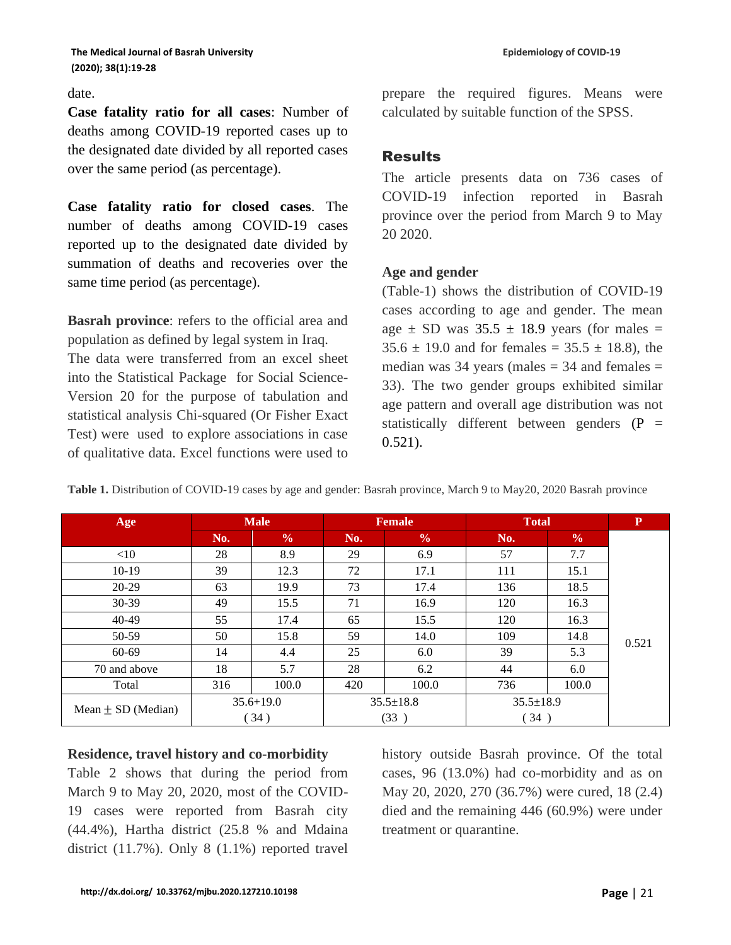#### date.

**Case fatality ratio for all cases**: Number of deaths among COVID-19 reported cases up to the designated date divided by all reported cases over the same period (as percentage).

**Case fatality ratio for closed cases**. The number of deaths among COVID-19 cases reported up to the designated date divided by summation of deaths and recoveries over the same time period (as percentage).

**Basrah province**: refers to the official area and population as defined by legal system in Iraq.

The data were transferred from an excel sheet into the Statistical Package for Social Science-Version 20 for the purpose of tabulation and statistical analysis Chi-squared (Or Fisher Exact Test) were used to explore associations in case of qualitative data. Excel functions were used to

prepare the required figures. Means were calculated by suitable function of the SPSS.

# **Results**

The article presents data on 736 cases of COVID-19 infection reported in Basrah province over the period from March 9 to May 20 2020.

### **Age and gender**

(Table-1) shows the distribution of COVID-19 cases according to age and gender. The mean age  $\pm$  SD was 35.5  $\pm$  18.9 years (for males =  $35.6 \pm 19.0$  and for females =  $35.5 \pm 18.8$ ), the median was 34 years (males  $=$  34 and females  $=$ 33). The two gender groups exhibited similar age pattern and overall age distribution was not statistically different between genders  $(P =$ 0.521).

| Age                    | <b>Male</b>   |               | <b>Female</b>   |               | <b>Total</b>    |               | ${\bf P}$ |
|------------------------|---------------|---------------|-----------------|---------------|-----------------|---------------|-----------|
|                        | No.           | $\frac{0}{0}$ | No.             | $\frac{0}{0}$ | No.             | $\frac{0}{0}$ |           |
| $<$ 10                 | 28            | 8.9           | 29              | 6.9           | 57              | 7.7           |           |
| $10-19$                | 39            | 12.3          | 72              | 17.1          | 111             | 15.1          |           |
| $20-29$                | 63            | 19.9          | 73              | 17.4          | 136             | 18.5          |           |
| $30-39$                | 49            | 15.5          | 71              | 16.9          | 120             | 16.3          |           |
| 40-49                  | 55            | 17.4          | 65              | 15.5          | 120             | 16.3          |           |
| 50-59                  | 50            | 15.8          | 59              | 14.0          | 109             | 14.8          | 0.521     |
| 60-69                  | 14            | 4.4           | 25              | 6.0           | 39              | 5.3           |           |
| 70 and above           | 18            | 5.7           | 28              | 6.2           | 44              | 6.0           |           |
| Total                  | 316           | 100.0         | 420             | 100.0         | 736             | 100.0         |           |
| Mean $\pm$ SD (Median) | $35.6 + 19.0$ |               | $35.5 \pm 18.8$ |               | $35.5 \pm 18.9$ |               |           |
|                        | 34)           |               | (33)            |               | (34)            |               |           |

**Table 1.** Distribution of COVID-19 cases by age and gender: Basrah province, March 9 to May20, 2020 Basrah province

#### **Residence, travel history and co-morbidity**

Table 2 shows that during the period from March 9 to May 20, 2020, most of the COVID-19 cases were reported from Basrah city (44.4%), Hartha district (25.8 % and Mdaina district (11.7%). Only 8 (1.1%) reported travel history outside Basrah province. Of the total cases, 96 (13.0%) had co-morbidity and as on May 20, 2020, 270 (36.7%) were cured, 18 (2.4) died and the remaining 446 (60.9%) were under treatment or quarantine.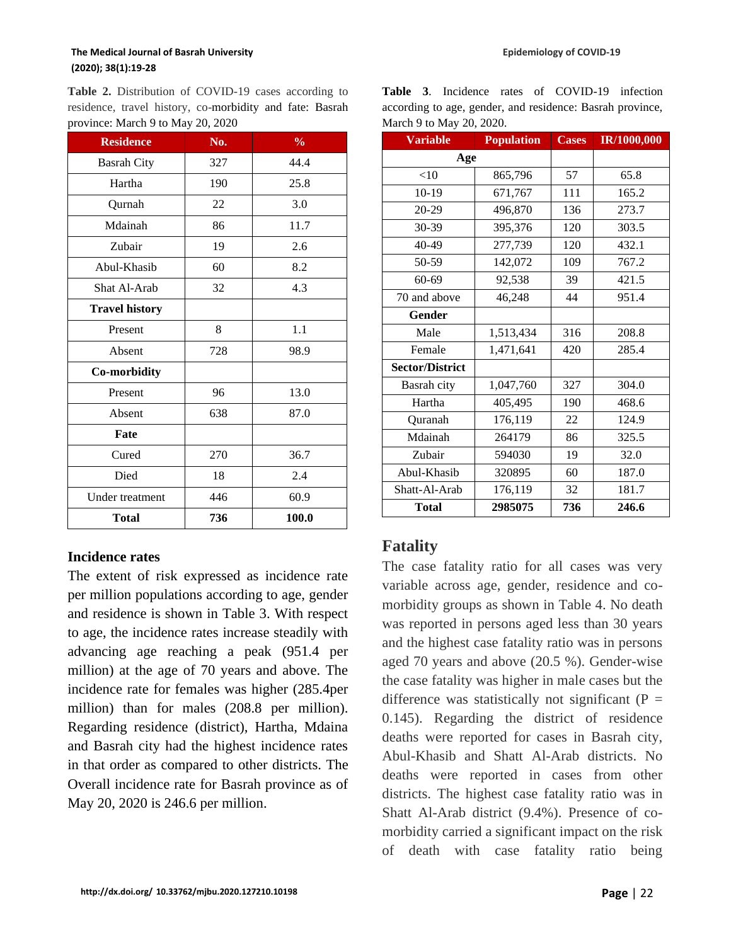**Table 2.** Distribution of COVID-19 cases according to residence, travel history, co-morbidity and fate: Basrah province: March 9 to May 20, 2020

| <b>Residence</b>      | No. | $\frac{0}{0}$ |
|-----------------------|-----|---------------|
| <b>Basrah City</b>    | 327 | 44.4          |
| Hartha                | 190 | 25.8          |
| Qurnah                | 22  | 3.0           |
| Mdainah               | 86  | 11.7          |
| Zubair                | 19  | 2.6           |
| Abul-Khasib           | 60  | 8.2           |
| Shat Al-Arab          | 32  | 4.3           |
| <b>Travel history</b> |     |               |
| Present               | 8   | 1.1           |
| Absent                | 728 | 98.9          |
| Co-morbidity          |     |               |
| Present               | 96  | 13.0          |
| Absent                | 638 | 87.0          |
| Fate                  |     |               |
| Cured                 | 270 | 36.7          |
| Died                  | 18  | 2.4           |
| Under treatment       | 446 | 60.9          |
| <b>Total</b>          | 736 | 100.0         |

## **Incidence rates**

The extent of risk expressed as incidence rate per million populations according to age, gender and residence is shown in Table 3. With respect to age, the incidence rates increase steadily with advancing age reaching a peak (951.4 per million) at the age of 70 years and above. The incidence rate for females was higher (285.4per million) than for males (208.8 per million). Regarding residence (district), Hartha, Mdaina and Basrah city had the highest incidence rates in that order as compared to other districts. The Overall incidence rate for Basrah province as of May 20, 2020 is 246.6 per million.

|  |                          |  | <b>Table 3.</b> Incidence rates of COVID-19 infection     |  |
|--|--------------------------|--|-----------------------------------------------------------|--|
|  |                          |  | according to age, gender, and residence: Basrah province, |  |
|  | March 9 to May 20, 2020. |  |                                                           |  |

| <b>Variable</b>        | <b>Population</b> | <b>Cases</b> | IR/1000,000 |
|------------------------|-------------------|--------------|-------------|
| Age                    |                   |              |             |
| $<$ 10                 | 865,796           | 57           | 65.8        |
| 10-19                  | 671,767           | 111          | 165.2       |
| 20-29                  | 496,870           | 136          | 273.7       |
| 30-39                  | 395,376           | 120          | 303.5       |
| 40-49                  | 277,739           | 120          | 432.1       |
| 50-59                  | 142,072           | 109          | 767.2       |
| 60-69                  | 92,538            | 39           | 421.5       |
| 70 and above           | 46,248            | 44           | 951.4       |
| Gender                 |                   |              |             |
| Male                   | 1,513,434         | 316          | 208.8       |
| Female                 | 1,471,641         | 420          | 285.4       |
| <b>Sector/District</b> |                   |              |             |
| Basrah city            | 1,047,760         | 327          | 304.0       |
| Hartha                 | 405,495           | 190          | 468.6       |
| Quranah                | 176,119           | 22           | 124.9       |
| Mdainah                | 264179            | 86           | 325.5       |
| Zubair                 | 594030            | 19           | 32.0        |
| Abul-Khasib            | 320895            | 60           | 187.0       |
| Shatt-Al-Arab          | 176,119           | 32           | 181.7       |
| <b>Total</b>           | 2985075           | 736          | 246.6       |

# **Fatality**

The case fatality ratio for all cases was very variable across age, gender, residence and comorbidity groups as shown in Table 4. No death was reported in persons aged less than 30 years and the highest case fatality ratio was in persons aged 70 years and above (20.5 %). Gender-wise the case fatality was higher in male cases but the difference was statistically not significant ( $P =$ 0.145). Regarding the district of residence deaths were reported for cases in Basrah city, Abul-Khasib and Shatt Al-Arab districts. No deaths were reported in cases from other districts. The highest case fatality ratio was in Shatt Al-Arab district (9.4%). Presence of comorbidity carried a significant impact on the risk of death with case fatality ratio being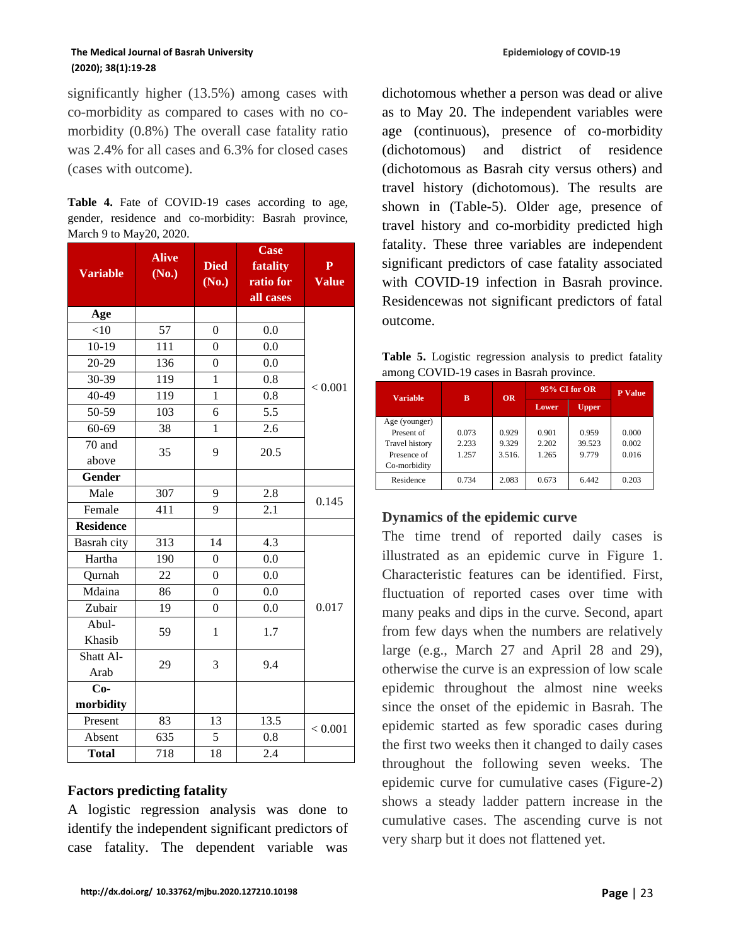significantly higher (13.5%) among cases with co-morbidity as compared to cases with no comorbidity (0.8%) The overall case fatality ratio was 2.4% for all cases and 6.3% for closed cases (cases with outcome).

**Table 4.** Fate of COVID-19 cases according to age, gender, residence and co-morbidity: Basrah province, March 9 to May20, 2020.

| <b>Variable</b>    | <b>Alive</b><br>(No.) | <b>Died</b><br>(No.) | <b>Case</b><br>fatality<br>ratio for | ${\bf P}$<br><b>Value</b> |  |
|--------------------|-----------------------|----------------------|--------------------------------------|---------------------------|--|
|                    |                       |                      | all cases                            |                           |  |
| Age                |                       |                      |                                      |                           |  |
| < 10               | 57                    | $\overline{0}$       | 0.0                                  |                           |  |
| $10-19$            | 111                   | $\overline{0}$       | 0.0                                  |                           |  |
| 20-29              | 136                   | $\overline{0}$       | 0.0                                  |                           |  |
| 30-39              | 119                   | $\mathbf{1}$         | 0.8                                  | < 0.001                   |  |
| 40-49              | 119                   | $\mathbf{1}$         | 0.8                                  |                           |  |
| 50-59              | 103                   | 6                    | 5.5                                  |                           |  |
| $60 - 69$          | 38                    | $\mathbf{1}$         | 2.6                                  |                           |  |
| 70 and             | 35                    | 9                    | 20.5                                 |                           |  |
| above              |                       |                      |                                      |                           |  |
| <b>Gender</b>      |                       |                      |                                      |                           |  |
| Male               | 307                   | 9                    | 2.8                                  | 0.145                     |  |
| Female             | 411<br>9              |                      | 2.1                                  |                           |  |
| <b>Residence</b>   |                       |                      |                                      |                           |  |
| <b>Basrah</b> city | 313                   | 14                   | 4.3                                  |                           |  |
| Hartha             | 190                   | $\boldsymbol{0}$     | 0.0                                  |                           |  |
| Qurnah             | 22                    | $\overline{0}$       | 0.0                                  |                           |  |
| Mdaina             | 86                    | $\overline{0}$       | 0.0                                  |                           |  |
| Zubair             | 19                    | $\boldsymbol{0}$     | 0.0                                  | 0.017                     |  |
| Abul-              | 59                    | $\mathbf{1}$         | 1.7                                  |                           |  |
| Khasib             |                       |                      |                                      |                           |  |
| Shatt Al-          | 29                    | 3                    | 9.4                                  |                           |  |
| Arab               |                       |                      |                                      |                           |  |
| $Co-$              |                       |                      |                                      |                           |  |
| morbidity          |                       |                      |                                      |                           |  |
| Present            |                       | 13.5<br>83<br>13     |                                      | < 0.001                   |  |
| Absent             | 635                   | 5                    | 0.8                                  |                           |  |
| <b>Total</b>       | 718                   | 18                   | 2.4                                  |                           |  |

## **Factors predicting fatality**

A logistic regression analysis was done to identify the independent significant predictors of case fatality. The dependent variable was

dichotomous whether a person was dead or alive as to May 20. The independent variables were age (continuous), presence of co-morbidity (dichotomous) and district of residence (dichotomous as Basrah city versus others) and travel history (dichotomous). The results are shown in (Table-5). Older age, presence of travel history and co-morbidity predicted high fatality. These three variables are independent significant predictors of case fatality associated with COVID-19 infection in Basrah province. Residencewas not significant predictors of fatal outcome.

**Table 5.** Logistic regression analysis to predict fatality among COVID-19 cases in Basrah province.

| <b>Variable</b>       | в     | <b>OR</b> | 95% CI for OR | <b>P</b> Value |       |
|-----------------------|-------|-----------|---------------|----------------|-------|
|                       |       |           | Lower         | <b>Upper</b>   |       |
| Age (younger)         |       |           |               |                |       |
| Present of            | 0.073 | 0.929     | 0.901         | 0.959          | 0.000 |
| <b>Travel history</b> | 2.233 | 9.329     | 2.202         | 39.523         | 0.002 |
| Presence of           | 1.257 | 3.516.    | 1.265         | 9.779          | 0.016 |
| Co-morbidity          |       |           |               |                |       |
| Residence             | 0.734 | 2.083     | 0.673         | 6.442          | 0.203 |

# **Dynamics of the epidemic curve**

The time trend of reported daily cases is illustrated as an epidemic curve in Figure 1. Characteristic features can be identified. First, fluctuation of reported cases over time with many peaks and dips in the curve. Second, apart from few days when the numbers are relatively large (e.g., March 27 and April 28 and 29), otherwise the curve is an expression of low scale epidemic throughout the almost nine weeks since the onset of the epidemic in Basrah. The epidemic started as few sporadic cases during the first two weeks then it changed to daily cases throughout the following seven weeks. The epidemic curve for cumulative cases (Figure-2) shows a steady ladder pattern increase in the cumulative cases. The ascending curve is not very sharp but it does not flattened yet.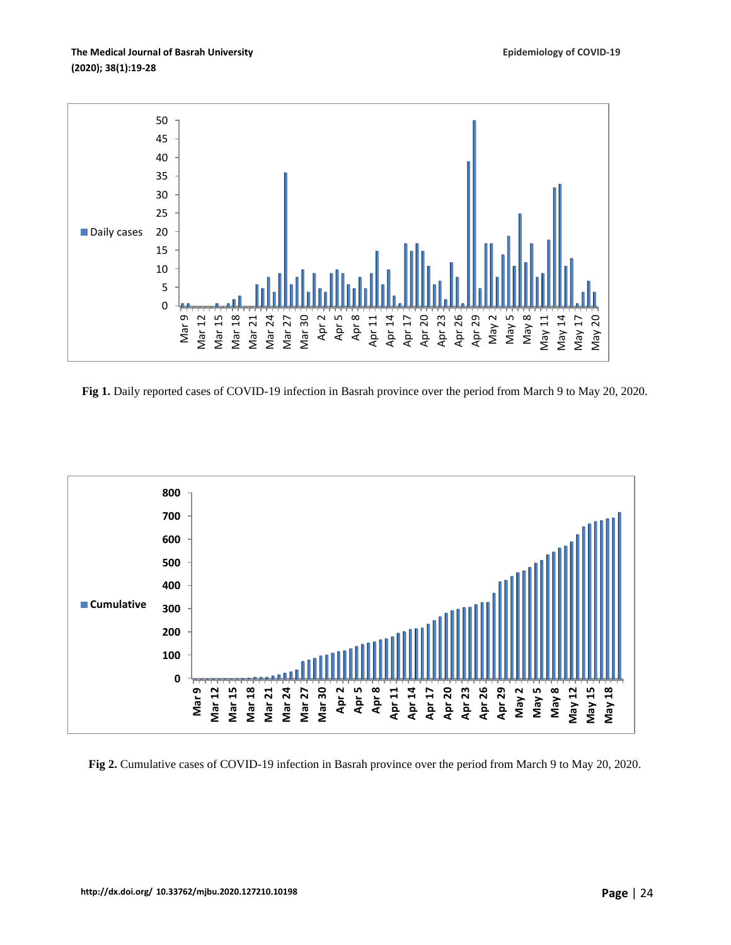

**Fig 1.** Daily reported cases of COVID-19 infection in Basrah province over the period from March 9 to May 20, 2020.



**Fig 2.** Cumulative cases of COVID-19 infection in Basrah province over the period from March 9 to May 20, 2020.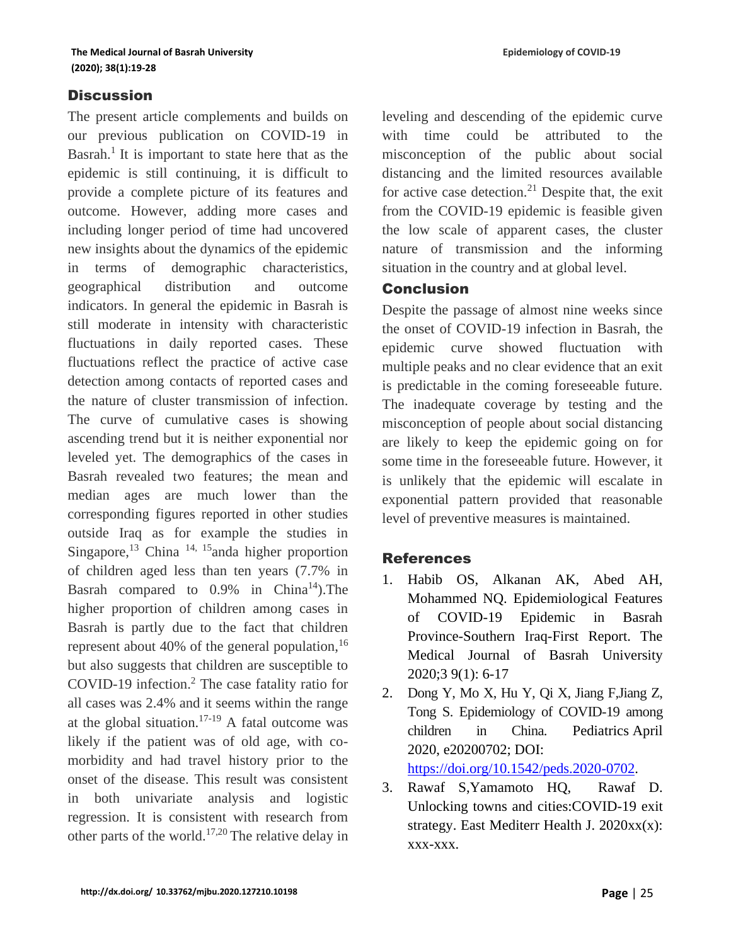### **Discussion**

The present article complements and builds on our previous publication on COVID-19 in Basrah.<sup>1</sup> It is important to state here that as the epidemic is still continuing, it is difficult to provide a complete picture of its features and outcome. However, adding more cases and including longer period of time had uncovered new insights about the dynamics of the epidemic in terms of demographic characteristics, geographical distribution and outcome indicators. In general the epidemic in Basrah is still moderate in intensity with characteristic fluctuations in daily reported cases. These fluctuations reflect the practice of active case detection among contacts of reported cases and the nature of cluster transmission of infection. The curve of cumulative cases is showing ascending trend but it is neither exponential nor leveled yet. The demographics of the cases in Basrah revealed two features; the mean and median ages are much lower than the corresponding figures reported in other studies outside Iraq as for example the studies in Singapore,<sup>13</sup> China  $14$ ,  $15$  and a higher proportion of children aged less than ten years (7.7% in Basrah compared to  $0.9\%$  in China<sup>14</sup>). The higher proportion of children among cases in Basrah is partly due to the fact that children represent about 40% of the general population,  $16$ but also suggests that children are susceptible to COVID-19 infection.<sup>2</sup> The case fatality ratio for all cases was 2.4% and it seems within the range at the global situation.<sup>17-19</sup> A fatal outcome was likely if the patient was of old age, with comorbidity and had travel history prior to the onset of the disease. This result was consistent in both univariate analysis and logistic regression. It is consistent with research from other parts of the world.17,20 The relative delay in leveling and descending of the epidemic curve with time could be attributed to the misconception of the public about social distancing and the limited resources available for active case detection.<sup>21</sup> Despite that, the exit from the COVID-19 epidemic is feasible given the low scale of apparent cases, the cluster nature of transmission and the informing situation in the country and at global level.

#### Conclusion

Despite the passage of almost nine weeks since the onset of COVID-19 infection in Basrah, the epidemic curve showed fluctuation with multiple peaks and no clear evidence that an exit is predictable in the coming foreseeable future. The inadequate coverage by testing and the misconception of people about social distancing are likely to keep the epidemic going on for some time in the foreseeable future. However, it is unlikely that the epidemic will escalate in exponential pattern provided that reasonable level of preventive measures is maintained.

#### References

- 1. Habib OS, Alkanan AK, Abed AH, Mohammed NQ. Epidemiological Features of COVID-19 Epidemic in Basrah Province-Southern Iraq-First Report. The Medical Journal of Basrah University 2020;3 9(1): 6-17
- 2. Dong Y, Mo X, Hu Y, Qi X, Jiang F,Jiang Z, Tong S. Epidemiology of COVID-19 among children in China. Pediatrics April 2020, e20200702; DOI: [https://doi.org/10.1542/peds.2020-0702.](https://doi.org/10.1542/peds.2020-0702)

3. Rawaf S,Yamamoto HQ, Rawaf D. Unlocking towns and cities:COVID-19 exit strategy. East Mediterr Health J. 2020xx(x): xxx-xxx.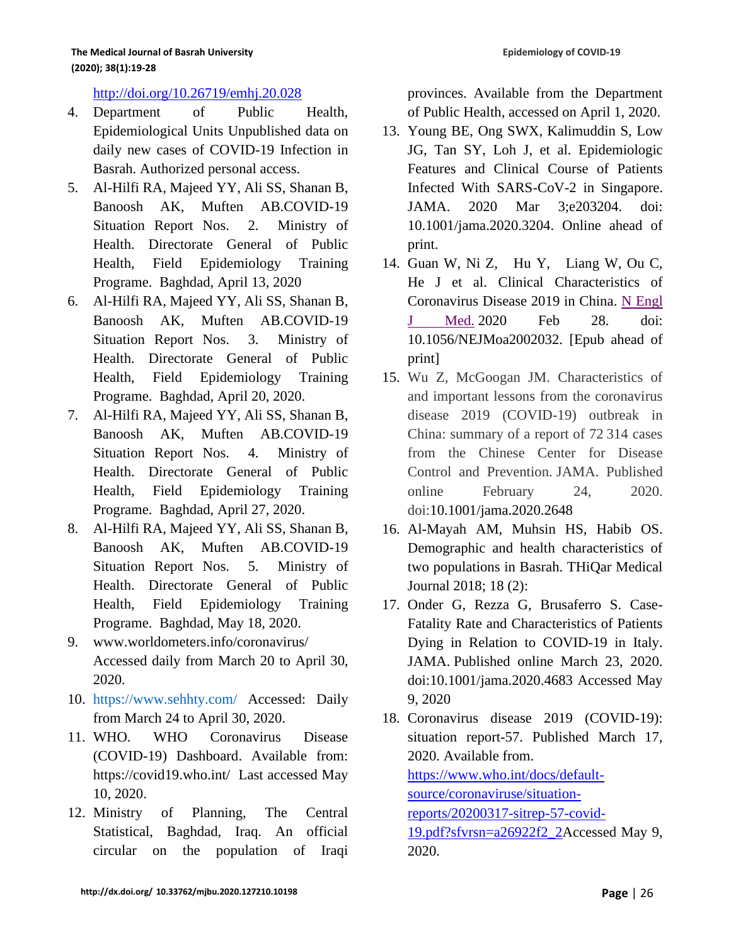<http://doi.org/10.26719/emhj.20.028>

- 4. Department of Public Health, Epidemiological Units Unpublished data on daily new cases of COVID-19 Infection in Basrah. Authorized personal access.
- 5. Al-Hilfi RA, Majeed YY, Ali SS, Shanan B, Banoosh AK, Muften AB.COVID-19 Situation Report Nos. 2. Ministry of Health. Directorate General of Public Health, Field Epidemiology Training Programe. Baghdad, April 13, 2020
- 6. Al-Hilfi RA, Majeed YY, Ali SS, Shanan B, Banoosh AK, Muften AB.COVID-19 Situation Report Nos. 3. Ministry of Health. Directorate General of Public Health, Field Epidemiology Training Programe. Baghdad, April 20, 2020.
- 7. Al-Hilfi RA, Majeed YY, Ali SS, Shanan B, Banoosh AK, Muften AB.COVID-19 Situation Report Nos. 4. Ministry of Health. Directorate General of Public Health, Field Epidemiology Training Programe. Baghdad, April 27, 2020.
- 8. Al-Hilfi RA, Majeed YY, Ali SS, Shanan B, Banoosh AK, Muften AB.COVID-19 Situation Report Nos. 5. Ministry of Health. Directorate General of Public Health, Field Epidemiology Training Programe. Baghdad, May 18, 2020.
- 9. www.worldometers.info/coronavirus/ Accessed daily from March 20 to April 30, 2020.
- 10. https://www.sehhty.com/ Accessed: Daily from March 24 to April 30, 2020.
- 11. WHO. [WHO Coronavirus Disease](https://covid19.who.int/)  [\(COVID-19\) Dashboard.](https://covid19.who.int/) Available from: <https://covid19.who.int/>Last accessed May 10, 2020.
- 12. Ministry of Planning, The Central Statistical, Baghdad, Iraq. An official circular on the population of Iraqi

provinces. Available from the Department of Public Health, accessed on April 1, 2020.

- 13. Young BE, Ong SWX, Kalimuddin S, Low JG, Tan SY, Loh J, et al. Epidemiologic Features and Clinical Course of Patients Infected With SARS-CoV-2 in Singapore. JAMA. 2020 Mar 3;e203204. doi: 10.1001/jama.2020.3204. Online ahead of print.
- 14. Guan W, Ni Z, Hu Y, Liang W, Ou C, He J et al. Clinical Characteristics of Coronavirus Disease 2019 in China. [N Engl](https://www.ncbi.nlm.nih.gov/pubmed/32109013)  [J Med.](https://www.ncbi.nlm.nih.gov/pubmed/32109013) 2020 Feb 28. doi: 10.1056/NEJMoa2002032. [Epub ahead of print]
- 15. Wu Z, McGoogan JM. Characteristics of and important lessons from the coronavirus disease 2019 (COVID-19) outbreak in China: summary of a report of 72 314 cases from the Chinese Center for Disease Control and Prevention. JAMA. Published online February 24, 2020. doi[:10.1001/jama.2020.2648](http://jamanetwork.com/article.aspx?doi=10.1001/jama.2020.2648)
- 16. Al-Mayah AM, Muhsin HS, Habib OS. Demographic and health characteristics of two populations in Basrah. THiQar Medical Journal 2018; 18 (2):
- 17. Onder G, Rezza G, Brusaferro S. Case-Fatality Rate and Characteristics of Patients Dying in Relation to COVID-19 in Italy. JAMA. Published online March 23, 2020. doi:10.1001/jama.2020.4683 Accessed May 9, 2020
- 18. Coronavirus disease 2019 (COVID-19): situation report-57. Published March 17, 2020. Available from. [https://www.who.int/docs/default](https://www.who.int/docs/default-source/coronaviruse/situation-reports/20200317-sitrep-57-covid-19.pdf?sfvrsn=a26922f2_2)[source/coronaviruse/situation](https://www.who.int/docs/default-source/coronaviruse/situation-reports/20200317-sitrep-57-covid-19.pdf?sfvrsn=a26922f2_2)[reports/20200317-sitrep-57-covid-](https://www.who.int/docs/default-source/coronaviruse/situation-reports/20200317-sitrep-57-covid-19.pdf?sfvrsn=a26922f2_2)[19.pdf?sfvrsn=a26922f2\\_2A](https://www.who.int/docs/default-source/coronaviruse/situation-reports/20200317-sitrep-57-covid-19.pdf?sfvrsn=a26922f2_2)ccessed May 9, 2020.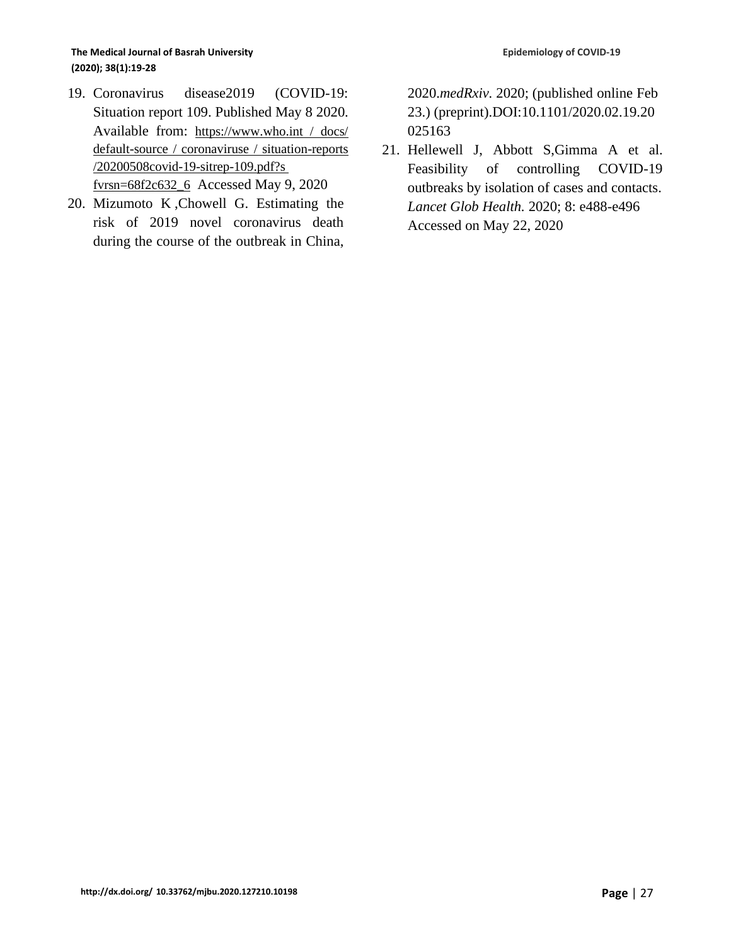#### **The Medical Journal of Basrah University (2020); 38(1):19-28**

- 19. Coronavirus disease2019 (COVID-19: Situation report 109. Published May 8 2020. Available from: https://www.who.int / docs/ default-source / coronaviruse / situation-reports /20200508covid-19-sitrep-109.pdf?s fvrsn=68f2c632\_6 Accessed May 9, 2020
- 20. Mizumoto K ,Chowell G. Estimating the risk of 2019 novel coronavirus death during the course of the outbreak in China,

2020.*medRxiv.* 2020; (published online Feb 23.) (preprint)[.DOI:10.1101/2020.02.19.20](http://dx.doi.org/10.1101/2020.02.19.20025163) [025163](http://dx.doi.org/10.1101/2020.02.19.20025163)

21. Hellewell J, Abbott S,Gimma A et al. Feasibility of controlling COVID-19 outbreaks by isolation of cases and contacts. *Lancet Glob Health.* 2020; 8: e488-e496 Accessed on May 22, 2020